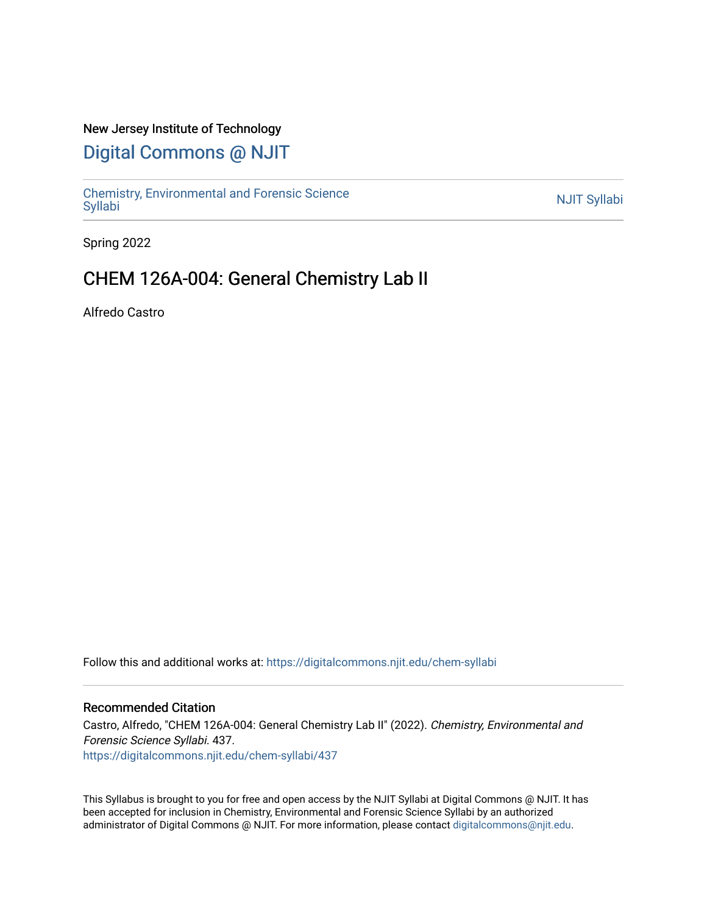#### New Jersey Institute of Technology

# [Digital Commons @ NJIT](https://digitalcommons.njit.edu/)

Chemistry, Environmental and Forensic Science<br>Syllabi

Spring 2022

# CHEM 126A-004: General Chemistry Lab II

Alfredo Castro

Follow this and additional works at: [https://digitalcommons.njit.edu/chem-syllabi](https://digitalcommons.njit.edu/chem-syllabi?utm_source=digitalcommons.njit.edu%2Fchem-syllabi%2F437&utm_medium=PDF&utm_campaign=PDFCoverPages) 

#### Recommended Citation

Castro, Alfredo, "CHEM 126A-004: General Chemistry Lab II" (2022). Chemistry, Environmental and Forensic Science Syllabi. 437. [https://digitalcommons.njit.edu/chem-syllabi/437](https://digitalcommons.njit.edu/chem-syllabi/437?utm_source=digitalcommons.njit.edu%2Fchem-syllabi%2F437&utm_medium=PDF&utm_campaign=PDFCoverPages) 

This Syllabus is brought to you for free and open access by the NJIT Syllabi at Digital Commons @ NJIT. It has been accepted for inclusion in Chemistry, Environmental and Forensic Science Syllabi by an authorized administrator of Digital Commons @ NJIT. For more information, please contact [digitalcommons@njit.edu.](mailto:digitalcommons@njit.edu)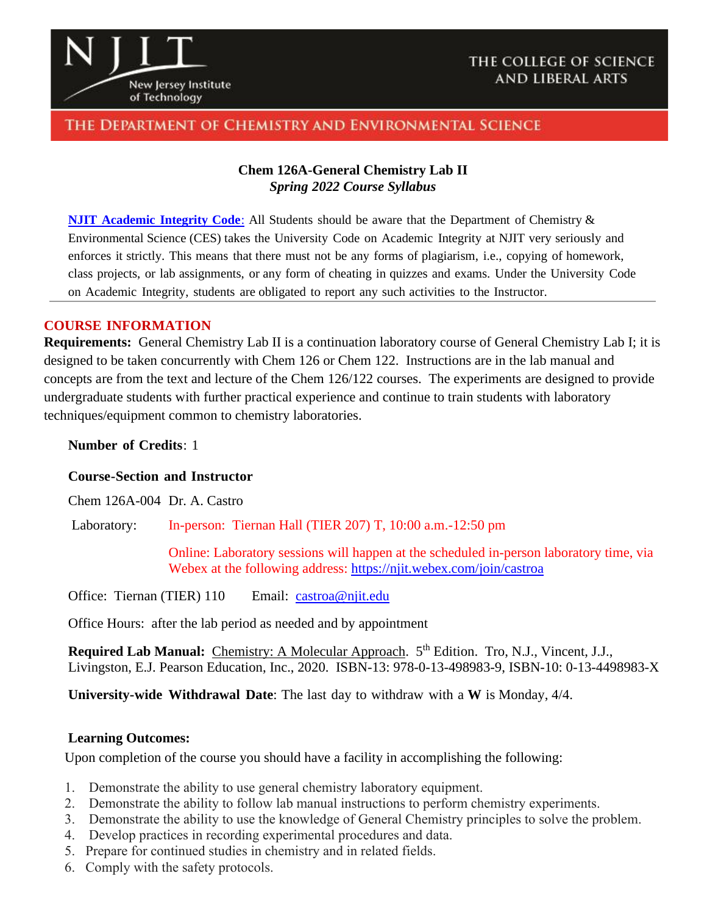

## THE COLLEGE OF SCIENCE **AND LIBERAL ARTS**

# THE DEPARTMENT OF CHEMISTRY AND ENVIRONMENTAL SCIENCE

## **Chem 126A-General Chemistry Lab II** *Spring 2022 Course Syllabus*

**NJIT [Academic](https://www.njit.edu/policies/sites/policies/files/academic-integrity-code.pdf) Integrity Code**: All Students should be aware that the Department of Chemistry & Environmental Science (CES) takes the University Code on Academic Integrity at NJIT very seriously and enforces it strictly. This means that there must not be any forms of plagiarism, i.e., copying of homework, class projects, or lab assignments, or any form of cheating in quizzes and exams. Under the University Code on Academic Integrity, students are obligated to report any such activities to the Instructor.

#### **COURSE INFORMATION**

**Requirements:** General Chemistry Lab II is a continuation laboratory course of General Chemistry Lab I; it is designed to be taken concurrently with Chem 126 or Chem 122. Instructions are in the lab manual and concepts are from the text and lecture of the Chem 126/122 courses. The experiments are designed to provide undergraduate students with further practical experience and continue to train students with laboratory techniques/equipment common to chemistry laboratories.

**Number of Credits**: 1

#### **Course-Section and Instructor**

Chem 126A-004 Dr. A. Castro

Laboratory: In-person: Tiernan Hall (TIER 207) T, 10:00 a.m.-12:50 pm

Online: Laboratory sessions will happen at the scheduled in-person laboratory time, via Webex at the following address:<https://njit.webex.com/join/castroa>

Office: Tiernan (TIER) 110 Email: [castroa@njit.edu](mailto:castroa@njit.edu)

Office Hours: after the lab period as needed and by appointment

Required Lab Manual: Chemistry: A Molecular Approach. 5<sup>th</sup> Edition. Tro, N.J., Vincent, J.J., Livingston, E.J. Pearson Education, Inc., 2020. ISBN-13: 978-0-13-498983-9, ISBN-10: 0-13-4498983-X

**University-wide Withdrawal Date**: The last day to withdraw with a **W** is Monday, 4/4.

#### **Learning Outcomes:**

Upon completion of the course you should have a facility in accomplishing the following:

- 1. Demonstrate the ability to use general chemistry laboratory equipment.
- 2. Demonstrate the ability to follow lab manual instructions to perform chemistry experiments.
- 3. Demonstrate the ability to use the knowledge of General Chemistry principles to solve the problem.
- 4. Develop practices in recording experimental procedures and data.
- 5. Prepare for continued studies in chemistry and in related fields.
- 6. Comply with the safety protocols.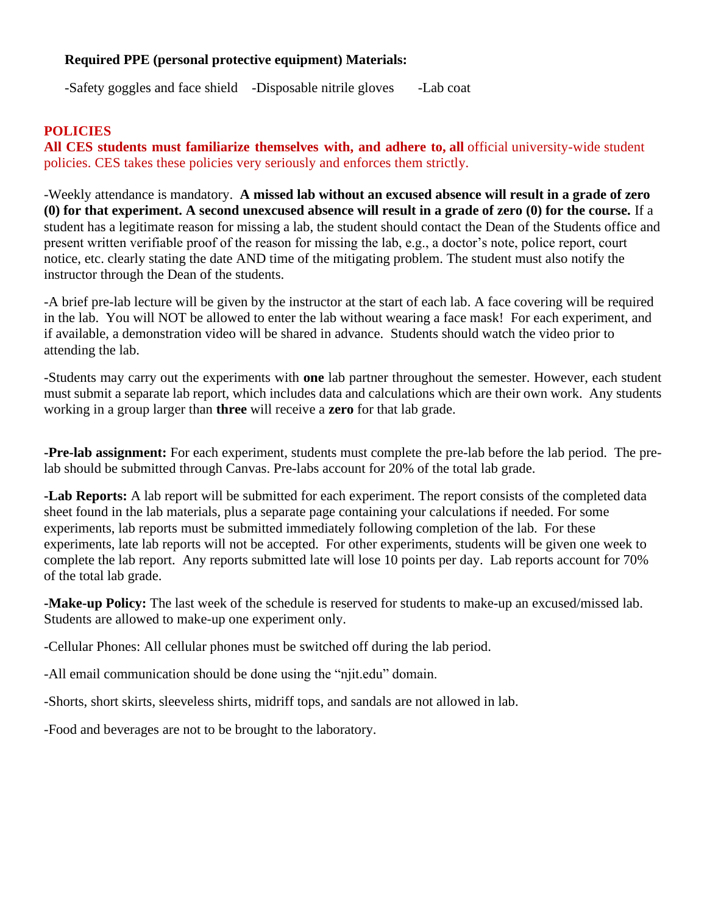## **Required PPE (personal protective equipment) Materials:**

-Safety goggles and face shield -Disposable nitrile gloves -Lab coat

# **POLICIES**

**All CES students must familiarize themselves with, and adhere to, all** official university-wide student policies. CES takes these policies very seriously and enforces them strictly.

-Weekly attendance is mandatory. **A missed lab without an excused absence will result in a grade of zero (0) for that experiment. A second unexcused absence will result in a grade of zero (0) for the course.** If a student has a legitimate reason for missing a lab, the student should contact the Dean of the Students office and present written verifiable proof of the reason for missing the lab, e.g., a doctor's note, police report, court notice, etc. clearly stating the date AND time of the mitigating problem. The student must also notify the instructor through the Dean of the students.

-A brief pre-lab lecture will be given by the instructor at the start of each lab. A face covering will be required in the lab. You will NOT be allowed to enter the lab without wearing a face mask! For each experiment, and if available, a demonstration video will be shared in advance. Students should watch the video prior to attending the lab.

-Students may carry out the experiments with **one** lab partner throughout the semester. However, each student must submit a separate lab report, which includes data and calculations which are their own work. Any students working in a group larger than **three** will receive a **zero** for that lab grade.

**-Pre-lab assignment:** For each experiment, students must complete the pre-lab before the lab period. The prelab should be submitted through Canvas. Pre-labs account for 20% of the total lab grade.

**-Lab Reports:** A lab report will be submitted for each experiment. The report consists of the completed data sheet found in the lab materials, plus a separate page containing your calculations if needed. For some experiments, lab reports must be submitted immediately following completion of the lab. For these experiments, late lab reports will not be accepted. For other experiments, students will be given one week to complete the lab report. Any reports submitted late will lose 10 points per day. Lab reports account for 70% of the total lab grade.

**-Make-up Policy:** The last week of the schedule is reserved for students to make-up an excused/missed lab. Students are allowed to make-up one experiment only.

-Cellular Phones: All cellular phones must be switched off during the lab period.

-All email communication should be done using the "njit.edu" domain.

-Shorts, short skirts, sleeveless shirts, midriff tops, and sandals are not allowed in lab.

-Food and beverages are not to be brought to the laboratory.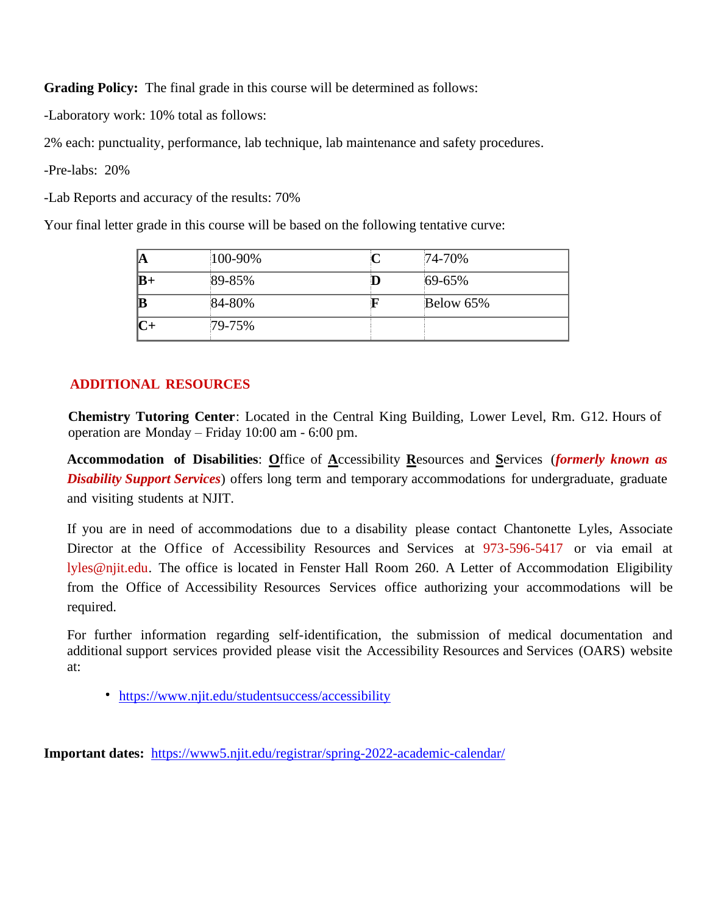**Grading Policy:** The final grade in this course will be determined as follows:

-Laboratory work: 10% total as follows:

2% each: punctuality, performance, lab technique, lab maintenance and safety procedures.

-Pre-labs: 20%

-Lab Reports and accuracy of the results: 70%

Your final letter grade in this course will be based on the following tentative curve:

| lA          | 100-90% | 74-70%    |
|-------------|---------|-----------|
| $ {\bf B+}$ | 89-85%  | 69-65%    |
| B           | 84-80%  | Below 65% |
| lC+         | 79-75%  |           |

# **ADDITIONAL RESOURCES**

**Chemistry Tutoring Center**: Located in the Central King Building, Lower Level, Rm. G12. Hours of operation are Monday – Friday 10:00 am - 6:00 pm.

**Accommodation of Disabilities**: **O**ffice of **A**ccessibility **R**esources and **S**ervices (*formerly known as Disability Support Services*) offers long term and temporary accommodations for undergraduate, graduate and visiting students at NJIT.

If you are in need of accommodations due to a disability please contact Chantonette Lyles, Associate Director at the Office of Accessibility Resources and Services at 973-596-5417 or via email at lyles@njit.edu. The office is located in Fenster Hall Room 260. A Letter of Accommodation Eligibility from the Office of Accessibility Resources Services office authorizing your accommodations will be required.

For further information regarding self-identification, the submission of medical documentation and additional support services provided please visit the Accessibility Resources and Services (OARS) website at:

https://www.njit.edu/studentsuccess/accessibility

**Important dates:** <https://www5.njit.edu/registrar/spring-2022-academic-calendar/>